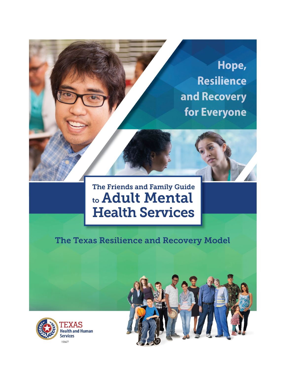

# The Friends and Family Guide to Adult Mental **Health Services**

# The Texas Resilience and Recovery Model



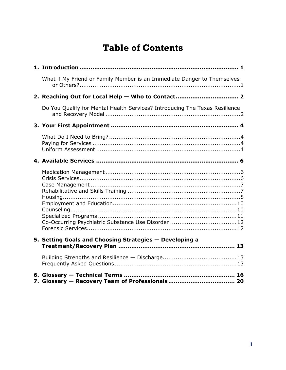# **Table of Contents**

| What if My Friend or Family Member is an Immediate Danger to Themselves     |  |
|-----------------------------------------------------------------------------|--|
| 2. Reaching Out for Local Help - Who to Contact 2                           |  |
| Do You Qualify for Mental Health Services? Introducing The Texas Resilience |  |
|                                                                             |  |
|                                                                             |  |
|                                                                             |  |
| Co-Occurring Psychiatric Substance Use Disorder 12                          |  |
| 5. Setting Goals and Choosing Strategies - Developing a                     |  |
|                                                                             |  |
|                                                                             |  |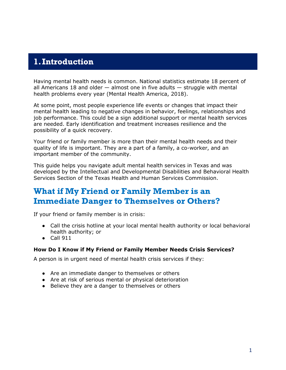#### <span id="page-2-0"></span>**1.Introduction**

Having mental health needs is common. National statistics estimate 18 percent of all Americans 18 and older  $-$  almost one in five adults  $-$  struggle with mental health problems every year (Mental Health America, 2018).

At some point, most people experience life events or changes that impact their mental health leading to negative changes in behavior, feelings, relationships and job performance. This could be a sign additional support or mental health services are needed. Early identification and treatment increases [resilience a](#page-19-0)nd the possibility of a quick recovery.

Your friend or family member is more than their mental health needs and their quality of life is important. They are a part of a family, a co-worker, and an important member of the community.

This guide helps you navigate adult mental health services in Texas and was developed by the Intellectual and Developmental Disabilities and Behavioral Health Services Section of the Texas Health and Human Services Commission.

### <span id="page-2-1"></span>**What if My Friend or Family Member is an Immediate Danger to Themselves or Others?**

If your friend or family member is in crisis:

- Call the crisis hotline at your local mental health authority or local behavioral health authority; or
- $\bullet$  Call 911

#### **How Do I Know if My Friend or Family Member Needs Crisis Services?**

A person is in urgent need of mental health crisis services if they:

- Are an immediate danger to themselves or others
- Are at risk of serious mental or physical deterioration
- Believe they are a danger to themselves or others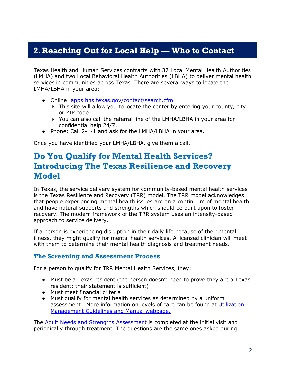# <span id="page-3-0"></span>**2.Reaching Out for Local Help — Who to Contact**

Texas Health and Human Services contracts with 37 Local Mental Health Authorities (LMHA) and two Local Behavioral Health Authorities (LBHA) to deliver mental health services in communities across Texas. There are several ways to locate the LMHA/LBHA in your area:

- Online: [apps.hhs.texas.gov/contact/search.cfm](https://apps.hhs.texas.gov/contact/search.cfm)
	- This site will allow you to locate the center by entering your county, city or ZIP code.
	- You can also call the referral line of the LMHA/LBHA in your area for confidential help 24/7.
- Phone: Call 2-1-1 and ask for the LMHA/LBHA in your area.

<span id="page-3-1"></span>Once you have identified your LMHA/LBHA, give them a call.

#### **Do You Qualify for Mental Health Services? Introducing The Texas Resilience and Recovery Model**

In Texas, the service delivery system for community-based mental health services is the Texas Resilience and Recovery (TRR) model. The TRR model acknowledges that people experiencing mental health issues are on a continuum of mental health and have natural supports and strengths which should be built upon to foster recovery. The modern framework of the TRR system uses an intensity-based approach to service delivery.

If a person is experiencing disruption in their daily life because of their mental illness, they might qualify for mental health services. A licensed clinician will meet with them to determine their mental health diagnosis and treatment needs.

#### **The Screening and Assessment Process**

For a person to qualify for TRR Mental Health Services, they:

- Must be a Texas resident (the person doesn't need to prove they are a Texas resident; their statement is sufficient)
- Must meet financial criteria
- Must qualify for mental health services as determined by a uniform assessment. More information on levels of care can be found at [Utilization](https://hhs.texas.gov/doing-business-hhs/provider-portals/behavioral-health-services-providers/behavioral-health-provider-resources/utilization-management-guidelines-manual)  [Management Guidelines and Manual webpage.](https://hhs.texas.gov/doing-business-hhs/provider-portals/behavioral-health-services-providers/behavioral-health-provider-resources/utilization-management-guidelines-manual)

The [Adult Needs and Strengths Assessment](#page-5-3) is completed at the initial visit and periodically through treatment. The questions are the same ones asked during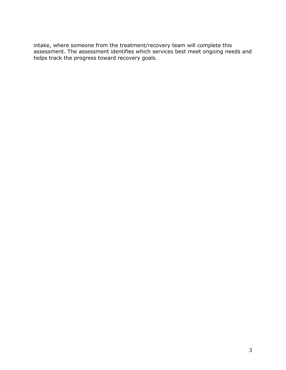intake, where someone from the treatment/recovery team will complete this assessment. The assessment identifies which services best meet ongoing needs and helps track the progress toward recovery goals.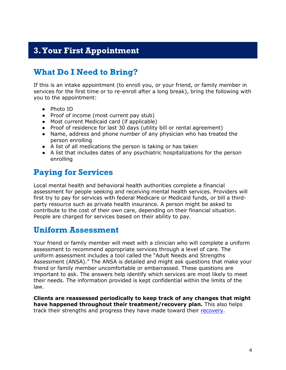### <span id="page-5-0"></span>**3.Your First Appointment**

### <span id="page-5-1"></span>**What Do I Need to Bring?**

If this is an intake appointment (to enroll you, or your friend, or family member in services for the first time or to re-enroll after a long break), bring the following with you to the appointment:

- Photo ID
- Proof of income (most current pay stub)
- Most current Medicaid card (if applicable)
- Proof of residence for last 30 days (utility bill or rental agreement)
- Name, address and phone number of any physician who has treated the person enrolling
- A list of all medications the person is taking or has taken
- A list that includes dates of any psychiatric hospitalizations for the person enrolling

### <span id="page-5-2"></span>**Paying for Services**

Local mental health and behavioral health authorities complete a financial assessment for people seeking and receiving mental health services. Providers will first try to pay for services with federal Medicare or Medicaid funds, or bill a thirdparty resource such as private health insurance. A person might be asked to contribute to the cost of their own care, depending on their financial situation. People are charged for services based on their ability to pay.

### <span id="page-5-3"></span>**Uniform Assessment**

Your friend or family member will meet with a clinician who will complete a uniform assessment to recommend appropriate services through a level of care. The uniform assessment includes a tool called the "Adult Needs and Strengths Assessment (ANSA)." The ANSA is detailed and might ask questions that make your friend or family member uncomfortable or embarrassed. These questions are important to ask. The answers help identify which services are most likely to meet their needs. The information provided is kept confidential within the limits of the law.

**Clients are reassessed periodically to keep track of any changes that might have happened throughout their treatment/recovery plan.** This also helps track their strengths and progress they have made toward their [recovery.](#page-14-0)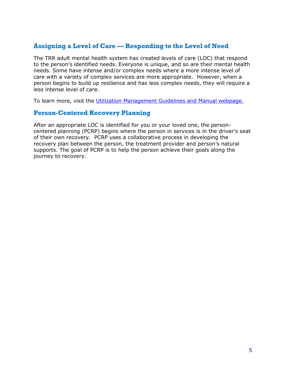#### **Assigning a Level of Care — Responding to the Level of Need**

The TRR adult mental health system has created levels of care (LOC) that respond to the person's identified needs. Everyone is unique, and so are their mental health needs. Some have intense and/or complex needs where a more intense level of care with a variety of complex services are more appropriate. However, when a person begins to build up resilience and has less complex needs, they will require a less intense level of care.

To learn more, visit the [Utilization Management Guidelines and Manual](https://hhs.texas.gov/doing-business-hhs/provider-portals/behavioral-health-services-providers/behavioral-health-provider-resources/utilization-management-guidelines-manual) webpage.

#### **Person-Centered Recovery Planning**

After an appropriate LOC is identified for you or your loved one, the personcentered planning (PCRP) begins where the person in services is in the driver's seat of their own recovery. PCRP uses a collaborative process in developing the recovery plan between the person, the treatment provider and person's natural supports. The goal of PCRP is to help the person achieve their goals along the journey to recovery.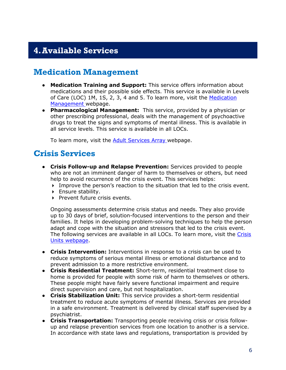# <span id="page-7-0"></span>**4.Available Services**

### <span id="page-7-1"></span>**Medication Management**

- **Medication Training and Support:** This service offers information about medications and their possible side effects. This service is available in Levels of Care (LOC) 1M, 1S, 2, 3, 4 and 5. To learn more, visit the Medication [Management](https://hhs.texas.gov/services/mental-health-substance-use/adult-mental-health/adult-mental-health-medication-management) webpage.
- **Pharmacological Management:** This service, provided by a physician or other prescribing professional, deals with the management of psychoactive drugs to treat the signs and symptoms of mental illness. This is available in all service levels. This service is available in all LOCs.

To learn more, visit the **Adult Services Array** webpage.

#### <span id="page-7-2"></span>**Crisis Services**

- **Crisis Follow-up and Relapse Prevention:** Services provided to people who are not an imminent danger of harm to themselves or others, but need help to avoid recurrence of the crisis event. This services helps:
	- Improve the person's reaction to the situation that led to the crisis event.
	- **Ensure stability.**
	- $\triangleright$  Prevent future crisis events.

Ongoing assessments determine crisis status and needs. They also provide up to 30 days of brief, solution-focused interventions to the person and their families. It helps in developing problem-solving techniques to help the person adapt and cope with the situation and stressors that led to the crisis event. The following services are available in all LOCs. To learn more, visit the Crisis [Units](https://hhs.texas.gov/services/mental-health-substance-use/mental-health-crisis-services/crisis-units) webpage.

- **Crisis Intervention:** Interventions in response to a crisis can be used to reduce symptoms of serious mental illness or emotional disturbance and to prevent admission to a more restrictive environment.
- **Crisis Residential Treatment:** Short-term, residential treatment close to home is provided for people with some risk of harm to themselves or others. These people might have fairly severe functional impairment and require direct supervision and care, but not hospitalization.
- **Crisis Stabilization Unit:** This service provides a short-term residential treatment to reduce acute symptoms of mental illness. Services are provided in a safe environment. Treatment is delivered by clinical staff supervised by a psychiatrist.
- **Crisis Transportation:** Transporting people receiving crisis or crisis followup and relapse prevention services from one location to another is a service. In accordance with state laws and regulations, transportation is provided by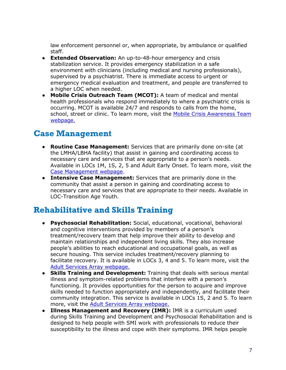law enforcement personnel or, when appropriate, by ambulance or qualified staff.

- **Extended Observation:** An up-to-48-hour emergency and crisis stabilization service. It provides emergency stabilization in a safe environment with clinicians (including medical and nursing professionals), supervised by a psychiatrist. There is immediate access to urgent or emergency medical evaluation and treatment, and people are transferred to a higher LOC when needed.
- **Mobile Crisis Outreach Team (MCOT):** A team of medical and mental health professionals who respond immediately to where a psychiatric crisis is occurring. MCOT is available 24/7 and responds to calls from the home, school, street or clinic. To learn more, visit the [Mobile Crisis Awareness Team](https://hhs.texas.gov/services/mental-health-substance-use/mental-health-crisis-services/mobile-crisis-outreach-teams) [webpage.](https://hhs.texas.gov/services/mental-health-substance-use/mental-health-crisis-services/mobile-crisis-outreach-teams)

### <span id="page-8-0"></span>**Case Management**

- **Routine Case Management:** Services that are primarily done on-site (at the LMHA/LBHA facility) that assist in gaining and coordinating access to necessary care and services that are appropriate to a person's needs. Available in LOCs 1M, 1S, 2, 5 and Adult Early Onset. To learn more, visit the [Case Management](https://hhs.texas.gov/services/mental-health-substance-use/adult-mental-health/adult-mental-health-case-management) webpage.
- **Intensive Case Management:** Services that are primarily done in the community that assist a person in gaining and coordinating access to necessary care and services that are appropriate to their needs. Available in LOC-Transition Age Youth.

#### <span id="page-8-1"></span>**Rehabilitative and Skills Training**

- **Psychosocial Rehabilitation:** Social, educational, vocational, behavioral and cognitive interventions provided by members of a person's treatment/recovery team that help improve their ability to develop and maintain relationships and independent living skills. They also increase people's abilities to reach educational and occupational goals, as well as secure housing. This service includes treatment/recovery planning to facilitate recovery. It is available in LOCs 3, 4 and 5. To learn more, visit the [Adult Services Array](https://hhs.texas.gov/services/mental-health-substance-use/adult-mental-health/adult-mental-health-medication-management) webpage.
- **Skills Training and Development:** Training that deals with serious mental illness and symptom-related problems that interfere with a person's functioning. It provides opportunities for the person to acquire and improve skills needed to function appropriately and independently, and facilitate their community integration. This service is available in LOCs 1S, 2 and 5. To learn more, visit the [Adult Services Array](https://hhs.texas.gov/services/mental-health-substance-use/adult-mental-health/adult-mental-health-medication-management) webpage.
- **Illness Management and Recovery (IMR):** IMR is a curriculum used during Skills Training and Development and Psychosocial Rehabilitation and is designed to help people with SMI work with professionals to reduce their susceptibility to the illness and cope with their symptoms. IMR helps people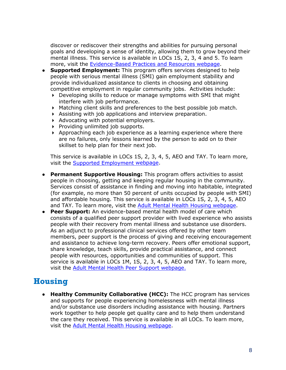discover or rediscover their strengths and abilities for pursuing personal goals and developing a sense of identity, allowing them to grow beyond their mental illness. This service is available in LOCs 1S, 2, 3, 4 and 5. To learn more, visit the [Evidence-Based Practices and Resources](https://hhs.texas.gov/about-hhs/process-improvement/behavioral-health-services/texas-resilience-recovery) webpage.

- **Supported Employment:** This program offers services designed to help people with serious mental illness (SMI) gain employment stability and provide individualized assistance to clients in choosing and obtaining competitive employment in regular community jobs. Activities include:
	- Developing skills to reduce or manage symptoms with SMI that might interfere with job performance.
	- Matching client skills and preferences to the best possible job match.
	- Assisting with job applications and interview preparation.
	- $\blacktriangleright$  Advocating with potential employers.
	- $\triangleright$  Providing unlimited job supports.
	- Approaching each job experience as a learning experience where there are no failures, only lessons learned by the person to add on to their skillset to help plan for their next job.

This service is available in LOCs 1S, 2, 3, 4, 5, AEO and TAY. To learn more, visit the [Supported Employment](https://hhs.texas.gov/services/mental-health-substance-use/adult-mental-health/adult-mental-health-supported-employment) webpage.

- **Permanent Supportive Housing:** This program offers activities to assist people in choosing, getting and keeping regular housing in the community. Services consist of assistance in finding and moving into habitable, integrated (for example, no more than 50 percent of units occupied by people with SMI) and affordable housing. This service is available in LOCs 1S, 2, 3, 4, 5, AEO and TAY. To learn more, visit the [Adult Mental Health Housing](https://hhs.texas.gov/services/mental-health-substance-use/adult-mental-health/adult-mental-health-housing) webpage.
- **Peer Support:** An evidence-based mental health model of care which consists of a qualified peer support provider with lived experience who assists people with their recovery from mental illness and substance use disorders. As an adjunct to professional clinical services offered by other team members, peer support is the process of giving and receiving encouragement and assistance to achieve long-term recovery. Peers offer emotional support, share knowledge, teach skills, provide practical assistance, and connect people with resources, opportunities and communities of support. This service is available in LOCs 1M, 1S, 2, 3, 4, 5, AEO and TAY. To learn more, visit the [Adult Mental Health Peer Support](https://hhs.texas.gov/services/mental-health-substance-use/adult-mental-health/adult-mental-health-peer-support) webpage.

### <span id="page-9-0"></span>**Housing**

● **Healthy Community Collaborative (HCC):** The HCC program has services and supports for people experiencing homelessness with mental illness and/or substance use disorders including assistance with housing. Partners work together to help people get quality care and to help them understand the care they received. This service is available in all LOCs. To learn more, visit the [Adult Mental Health Housing](https://hhs.texas.gov/services/mental-health-substance-use/adult-mental-health/adult-mental-health-housing) webpage.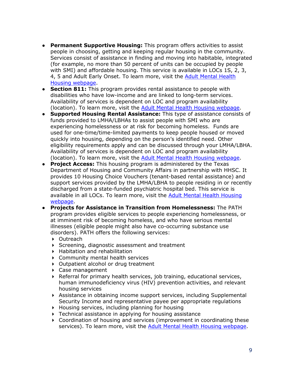- **Permanent Supportive Housing:** This program offers activities to assist people in choosing, getting and keeping regular housing in the community. Services consist of assistance in finding and moving into habitable, integrated (for example, no more than 50 percent of units can be occupied by people with SMI) and affordable housing. This service is available in LOCs 1S, 2, 3, 4, 5 and Adult Early Onset. To learn more, visit the [Adult Mental Health](https://hhs.texas.gov/services/mental-health-substance-use/adult-mental-health/adult-mental-health-housing)  [Housing](https://hhs.texas.gov/services/mental-health-substance-use/adult-mental-health/adult-mental-health-housing) webpage.
- **Section 811:** This program provides rental assistance to people with disabilities who have low-income and are linked to long-term services. Availability of services is dependent on LOC and program availability (location). To learn more, visit the [Adult Mental Health Housing](https://hhs.texas.gov/services/mental-health-substance-use/adult-mental-health/adult-mental-health-housing) webpage.
- **Supported Housing Rental Assistance:** This type of assistance consists of funds provided to LMHA/LBHAs to assist people with SMI who are experiencing homelessness or at risk for becoming homeless. Funds are used for one-time/time-limited payments to keep people housed or moved quickly into housing, depending on the person's identified need. Other eligibility requirements apply and can be discussed through your LMHA/LBHA. Availability of services is dependent on LOC and program availability (location). To learn more, visit the **[Adult Mental Health Housing](https://hhs.texas.gov/services/mental-health-substance-use/adult-mental-health/adult-mental-health-housing) webpage**.
- **Project Access:** This housing program is administered by the Texas Department of Housing and Community Affairs in partnership with HHSC. It provides 10 Housing Choice Vouchers (tenant-based rental assistance) and support services provided by the LMHA/LBHA to people residing in or recently discharged from a state-funded psychiatric hospital bed. This service is available in all LOCs. To learn more, visit the [Adult Mental Health Housing](https://hhs.texas.gov/services/mental-health-substance-use/adult-mental-health/adult-mental-health-housing) webpage.
- **Projects for Assistance in Transition from Homelessness:** The PATH program provides eligible services to people experiencing homelessness, or at imminent risk of becoming homeless, and who have serious mental illnesses (eligible people might also have co-occurring substance use disorders). PATH offers the following services:
	- ▶ Outreach
	- Screening, diagnostic assessment and treatment
	- Habitation and rehabilitation
	- Community mental health services
	- ▶ Outpatient alcohol or drug treatment
	- Case management
	- Referral for primary health services, job training, educational services, human immunodeficiency virus (HIV) prevention activities, and relevant housing services
	- Assistance in obtaining income support services, including Supplemental Security Income and representative payee per appropriate regulations
	- Housing services, including planning for housing
	- ▶ Technical assistance in applying for housing assistance
	- Coordination of housing and services (improvement in coordinating these services). To learn more, visit the [Adult Mental Health Housing](https://hhs.texas.gov/services/mental-health-substance-use/adult-mental-health/adult-mental-health-housing) webpage.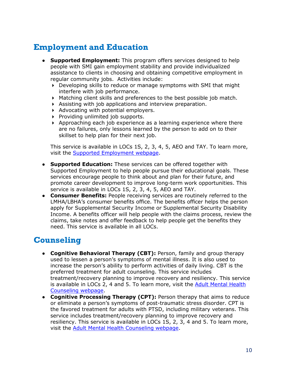### <span id="page-11-0"></span>**Employment and Education**

- **Supported Employment:** This program offers services designed to help people with SMI gain employment stability and provide individualized assistance to clients in choosing and obtaining competitive employment in regular community jobs. Activities include:
	- Developing skills to reduce or manage symptoms with SMI that might interfere with job performance.
	- Matching client skills and preferences to the best possible job match.
	- Assisting with job applications and interview preparation.
	- $\blacktriangleright$  Advocating with potential employers.
	- $\triangleright$  Providing unlimited job supports.
	- $\triangleright$  Approaching each job experience as a learning experience where there are no failures, only lessons learned by the person to add on to their skillset to help plan for their next job.

This service is available in LOCs 1S, 2, 3, 4, 5, AEO and TAY. To learn more, visit the [Supported Employment](https://hhs.texas.gov/services/mental-health-substance-use/adult-mental-health/adult-mental-health-supported-employment) webpage.

- **Supported Education:** These services can be offered together with Supported Employment to help people pursue their educational goals. These services encourage people to think about and plan for their future, and promote career development to improve long-term work opportunities. This service is available in LOCs 1S, 2, 3, 4, 5, AEO and TAY.
- **Consumer Benefits:** People receiving services are routinely referred to the LMHA/LBHA's consumer benefits office. The benefits officer helps the person apply for Supplemental Security Income or Supplemental Security Disability Income. A benefits officer will help people with the claims process, review the claims, take notes and offer feedback to help people get the benefits they need. This service is available in all LOCs.

# <span id="page-11-1"></span>**Counseling**

- **Cognitive Behavioral Therapy (CBT):** Person, family and group therapy used to lessen a person's symptoms of mental illness. It is also used to increase the person's ability to perform activities of daily living. CBT is the preferred treatment for adult counseling. This service includes treatment/recovery planning to improve recovery and resiliency. This service is available in LOCs 2, 4 and 5. To learn more, visit the [Adult Mental Health](https://hhs.texas.gov/services/mental-health-substance-use/adult-mental-health/adult-mental-health-counseling)  [Counseling](https://hhs.texas.gov/services/mental-health-substance-use/adult-mental-health/adult-mental-health-counseling) webpage.
- **Cognitive Processing Therapy (CPT):** Person therapy that aims to reduce or eliminate a person's symptoms of post-traumatic stress disorder. CPT is the favored treatment for adults with PTSD, including military veterans. This service includes treatment/recovery planning to improve recovery and resiliency. This service is available in LOCs 1S, 2, 3, 4 and 5. To learn more, visit the [Adult Mental Health Counseling](https://hhs.texas.gov/services/mental-health-substance-use/adult-mental-health/adult-mental-health-counseling) webpage.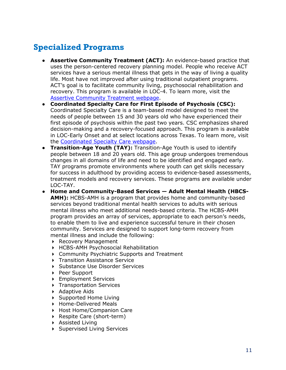# <span id="page-12-0"></span>**Specialized Programs**

- **Assertive Community Treatment (ACT):** An evidence-based practice that uses the person-centered recovery planning model. People who receive ACT services have a serious mental illness that gets in the way of living a quality life. Most have not improved after using traditional outpatient programs. ACT's goal is to facilitate community living, psychosocial rehabilitation and recovery. This program is available in LOC-4. To learn more, visit the [Assertive Community Treatment](https://hhs.texas.gov/services/mental-health-substance-use/adult-mental-health/adult-mental-health-assertive-community-treatment) webpage.
- **Coordinated Specialty Care for First Episode of Psychosis (CSC):**  Coordinated Specialty Care is a team-based model designed to meet the needs of people between 15 and 30 years old who have experienced their first episode of psychosis within the past two years. CSC emphasizes shared decision-making and a recovery-focused approach. This program is available in LOC-Early Onset and at select locations across Texas. To learn more, visit the [Coordinated Specialty Care](https://hhs.texas.gov/services/mental-health-substance-use/adult-mental-health/adult-mental-health-coordinated-specialty-care-first-episode-psychosis) webpage.
- **Transition-Age Youth (TAY):** Transition-Age Youth is used to identify people between 18 and 20 years old. This age group undergoes tremendous changes in all domains of life and need to be identified and engaged early. TAY programs promote environments where youth can get skills necessary for success in adulthood by providing access to evidence-based assessments, treatment models and recovery services. These programs are available under LOC-TAY.
- **Home and Community-Based Services — Adult Mental Health (HBCS-AMH):** HCBS-AMH is a program that provides home and community-based services beyond traditional mental health services to adults with serious mental illness who meet additional needs-based criteria. The HCBS-AMH program provides an array of services, appropriate to each person's needs, to enable them to live and experience successful tenure in their chosen community. Services are designed to support long-term recovery from mental illness and include the following:
	- ▶ Recovery Management
	- HCBS-AMH Psychosocial Rehabilitation
	- Community Psychiatric Supports and Treatment
	- **Transition Assistance Service**
	- ▶ Substance Use Disorder Services
	- ▶ Peer Support
	- ▶ Employment Services
	- **Transportation Services**
	- Adaptive Aids
	- ▶ Supported Home Living
	- ▶ Home-Delivered Meals
	- ▶ Host Home/Companion Care
	- ▶ Respite Care (short-term)
	- Assisted Living
	- ▶ Supervised Living Services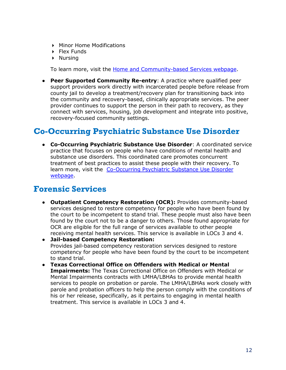- **Minor Home Modifications**
- $\triangleright$  Flex Funds
- $\triangleright$  Nursing

To learn more, visit the **Home and Community-based Services webpage**.

● **Peer Supported Community Re-entry**: A practice where qualified peer support providers work directly with incarcerated people before release from county jail to develop a treatment/recovery plan for transitioning back into the community and recovery-based, clinically appropriate services. The peer provider continues to support the person in their path to recovery, as they connect with services, housing, job development and integrate into positive, recovery-focused community settings.

### <span id="page-13-0"></span>**Co-Occurring Psychiatric Substance Use Disorder**

● **Co-Occurring Psychiatric Substance Use Disorder**: A coordinated service practice that focuses on people who have conditions of mental health and substance use disorders. This coordinated care promotes concurrent treatment of best practices to assist these people with their recovery. To learn more, visit the [Co-Occurring Psychiatric Substance Use Disorder](https://hhs.texas.gov/services/mental-health-substance-use/adult-substance-use/co-occurring-psychiatric-substance-use-disorder) webpage.

#### <span id="page-13-1"></span>**Forensic Services**

- **Outpatient Competency Restoration (OCR):** Provides community-based services designed to restore competency for people who have been found by the court to be incompetent to stand trial. These people must also have been found by the court not to be a danger to others. Those found appropriate for OCR are eligible for the full range of services available to other people receiving mental health services. This service is available in LOCs 3 and 4.
- **Jail-based Competency Restoration:** Provides jail-based competency restoration services designed to restore competency for people who have been found by the court to be incompetent to stand trial.
- **Texas Correctional Office on Offenders with Medical or Mental Impairments:** The Texas Correctional Office on Offenders with Medical or Mental Impairments contracts with LMHA/LBHAs to provide mental health services to people on probation or parole. The LMHA/LBHAs work closely with parole and probation officers to help the person comply with the conditions of his or her release, specifically, as it pertains to engaging in mental health treatment. This service is available in LOCs 3 and 4.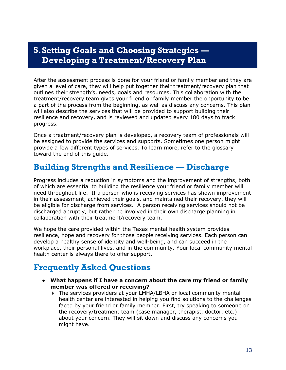### <span id="page-14-0"></span>**5.Setting Goals and Choosing Strategies — Developing a Treatment/Recovery Plan**

After the assessment process is done for your friend or family member and they are given a level of care, they will help put together their treatment/recovery plan that outlines their strength's, needs, goals and resources. This collaboration with the treatment/recovery team gives your friend or family member the opportunity to be a part of the process from the beginning, as well as discuss any concerns. This plan will also describe the services that will be provided to support building their resilience and recovery, and is reviewed and updated every 180 days to track progress.

Once a treatment/recovery plan is developed, a recovery team of professionals will be assigned to provide the services and supports. Sometimes one person might provide a few different types of services. To learn more, refer to the glossary toward the end of this guide.

### <span id="page-14-1"></span>**Building Strengths and Resilience — Discharge**

Progress includes a reduction in symptoms and the improvement of strengths, both of which are essential to building the resilience your friend or family member will need throughout life. If a person who is receiving services has shown improvement in their assessment, achieved their goals, and maintained their recovery, they will be eligible for discharge from services. A person receiving services should not be discharged abruptly, but rather be involved in their own discharge planning in collaboration with their treatment/recovery team.

We hope the care provided within the Texas mental health system provides resilience, hope and recovery for those people receiving services. Each person can develop a healthy sense of identity and well-being, and can succeed in the workplace, their personal lives, and in the community. Your local community mental health center is always there to offer support.

# <span id="page-14-2"></span>**Frequently Asked Questions**

- **What happens if I have a concern about the care my friend or family member was offered or receiving?**
	- The services providers at your LMHA/LBHA or local community mental health center are interested in helping you find solutions to the challenges faced by your friend or family member. First, try speaking to someone on the recovery/treatment team (case manager, therapist, doctor, etc.) about your concern. They will sit down and discuss any concerns you might have.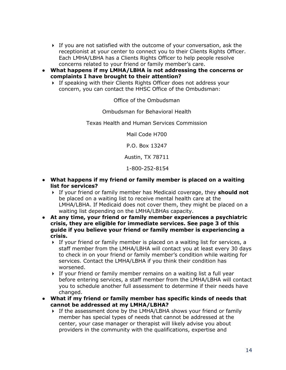- $\triangleright$  If you are not satisfied with the outcome of your conversation, ask the receptionist at your center to connect you to their Clients Rights Officer. Each LMHA/LBHA has a Clients Rights Officer to help people resolve concerns related to your friend or family member's care.
- **What happens if my LMHA/LBHA is not addressing the concerns or complaints I have brought to their attention?**
	- If speaking with their Clients Rights Officer does not address your concern, you can contact the HHSC Office of the Ombudsman:

Office of the Ombudsman

Ombudsman for Behavioral Health

Texas Health and Human Services Commission

Mail Code H700

P.O. Box 13247

Austin, TX 78711

1-800-252-8154

- **What happens if my friend or family member is placed on a waiting list for services?**
	- If your friend or family member has Medicaid coverage, they **should not** be placed on a waiting list to receive mental health care at the LMHA/LBHA. If Medicaid does not cover them, they might be placed on a waiting list depending on the LMHA/LBHAs capacity.
- **At any time, your friend or family member experiences a psychiatric crisis, they are eligible for immediate services. See page 3 of this guide if you believe your friend or family member is experiencing a crisis.**
	- $\triangleright$  If your friend or family member is placed on a waiting list for services, a staff member from the LMHA/LBHA will contact you at least every 30 days to check in on your friend or family member's condition while waiting for services. Contact the LMHA/LBHA if you think their condition has worsened.
	- $\triangleright$  If your friend or family member remains on a waiting list a full year before entering services, a staff member from the LMHA/LBHA will contact you to schedule another full assessment to determine if their needs have changed.
- **What if my friend or family member has specific kinds of needs that cannot be addressed at my LMHA/LBHA?**
	- If the assessment done by the LMHA/LBHA shows your friend or family member has special types of needs that cannot be addressed at the center, your case manager or therapist will likely advise you about providers in the community with the qualifications, expertise and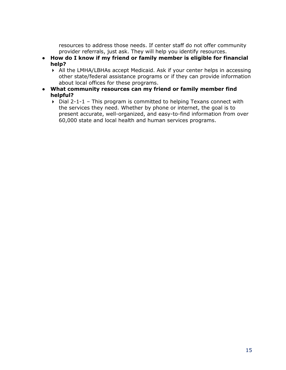resources to address those needs. If center staff do not offer community provider referrals, just ask. They will help you identify resources.

- **How do I know if my friend or family member is eligible for financial help?**
	- All the LMHA/LBHAs accept Medicaid. Ask if your center helps in accessing other state/federal assistance programs or if they can provide information about local offices for these programs.
- **What community resources can my friend or family member find helpful?**
	- $\triangleright$  Dial 2-1-1 This program is committed to helping Texans connect with the services they need. Whether by phone or internet, the goal is to present accurate, well-organized, and easy-to-find information from over 60,000 state and local health and human services programs.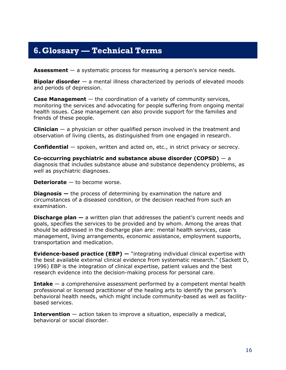### <span id="page-17-0"></span>**6.Glossary — Technical Terms**

**Assessment** — a systematic process for measuring a person's service needs.

**Bipolar disorder** — a mental illness characterized by periods of elevated moods and periods of depression.

**Case Management** — the coordination of a variety of community services, monitoring the services and advocating for people suffering from ongoing mental health issues. Case management can also provide support for the families and friends of these people.

**Clinician** — a physician or other qualified person involved in the treatment and observation of living clients, as distinguished from one engaged in research.

**Confidential** — spoken, written and acted on, etc., in strict privacy or secrecy.

**Co-occurring psychiatric and substance abuse disorder (COPSD)** — a [diagnosis t](#page-17-1)hat includes substance abuse and substance dependency problems, as well as psychiatric diagnoses.

<span id="page-17-1"></span>**Deteriorate** — to become worse.

**Diagnosis —** the process of determining by examination the [nature a](http://dictionary.reference.com/browse/nature)nd circumstances of a diseased condition, or the decision reached from such an examination.

**Discharge plan —** a written plan that addresses the patient's current needs and goals, specifies the services to be provided and by whom. Among the areas that should be addressed in the discharge plan are: mental health services, case management, living arrangements, economic assistance, employment supports, transportation and medication.

**Evidence-based practice (EBP) —** "integrating individual clinical expertise with the best available external clinical evidence from systematic research." (Sackett D, 1996) EBP is the integration of clinical expertise, patient values and the best research evidence into the decision-making process for personal care.

**Intake** — a comprehensive assessment performed by a competent mental health professional or licensed practitioner of the healing arts to identify the person's behavioral health needs, which might include community-based as well as facilitybased services.

**Intervention** — action taken to improve a situation, especially a medical, behavioral or social disorder.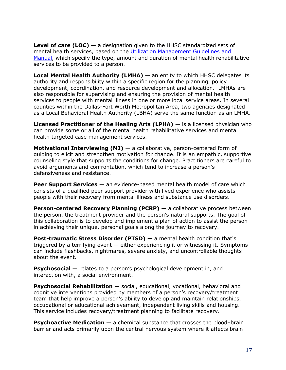**Level of care (LOC) —** a designation given to the HHSC standardized sets of mental health services, based on the [Utilization Management Guidelines and](https://hhs.texas.gov/doing-business-hhs/provider-portals/behavioral-health-services-providers/behavioral-health-provider-resources/utilization-management-guidelines-manual)  [Manual,](https://hhs.texas.gov/doing-business-hhs/provider-portals/behavioral-health-services-providers/behavioral-health-provider-resources/utilization-management-guidelines-manual) which specify the type, amount and duration of mental health [rehabilitative](#page-19-1)  services to be provided to a person.

**Local Mental Health Authority (LMHA)** — an entity to which HHSC delegates its authority and responsibility within a specific region for the planning, policy development, coordination, and resource development and allocation. LMHAs are also responsible for supervising and ensuring the provision of mental health services to people with mental illness in one or more local service areas. In several counties within the Dallas-Fort Worth Metropolitan Area, two agencies designated as a Local Behavioral Health Authority (LBHA) serve the same function as an LMHA.

**Licensed Practitioner of the Healing Arts (LPHA)** — is a licensed physician who can provide some or all of the mental health rehabilitative services and mental health targeted case management services.

**Motivational Interviewing (MI)** — a collaborative, person-centered form of guiding to elicit and strengthen motivation for change. It is an empathic, supportive counseling style that supports the conditions for change. Practitioners are careful to avoid arguments and confrontation, which tend to increase a person's defensiveness and resistance.

**Peer Support Services** — an evidence-based mental health model of care which consists of a qualified peer support provider with lived experience who assists people with their recovery from mental illness and substance use disorders.

**Person-centered Recovery Planning (PCRP) —** a collaborative process between the person, the treatment provider and the person's natural supports. The goal of this collaboration is to develop and implement a plan of action to assist the person in achieving their unique, personal goals along the journey to [recovery.](#page-19-2)

**Post-traumatic Stress Disorder (PTSD) —** a mental health condition that's triggered by a terrifying event  $-$  either experiencing it or witnessing it. Symptoms can include flashbacks, nightmares, severe anxiety, and uncontrollable thoughts about the event.

**Psychosocial** — relates to a person's psychological development in, and interaction with, a social environment.

**Psychosocial Rehabilitation** — social, educational, vocational, behavioral and cognitive interventions provided by members of a person's recovery/treatment team that help improve a person's ability to develop and maintain relationships, occupational or educational achievement, independent living skills and housing. This service includes recovery/treatment planning to facilitate recovery.

**Psychoactive Medication** — a [chemical substance t](http://en.wikipedia.org/wiki/Chemical_substance)hat crosses the [blood–brain](http://en.wikipedia.org/wiki/Blood%E2%80%93brain_barrier)  [barrier](http://en.wikipedia.org/wiki/Blood%E2%80%93brain_barrier) and acts primarily upon the [central nervous system w](http://en.wikipedia.org/wiki/Central_nervous_system)here it affects brain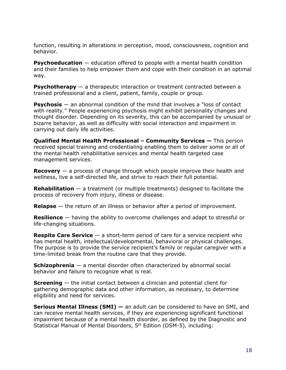function, resulting in alterations in perception, mood, [consciousness,](http://en.wikipedia.org/wiki/Consciousness) [cognition](http://en.wikipedia.org/wiki/Cognition) and behavior.

**Psychoeducation** — education offered to people with a mental health condition and their families to help empower them and cope with their condition in an optimal way.

**Psychotherapy** — a therapeutic interaction or treatment contracted between a trained professional and a client, patient, family, couple or group.

**Psychosis** — an abnormal condition of the mind that involves a "loss of contact" with reality." People experiencing psychosis might exhibit personality changes and thought disorder. Depending on its severity, this can be accompanied by unusual or bizarre behavior, as well as difficulty with social interaction and impairment in carrying out daily life activities.

**Qualified Mental Health Professional – Community Services —** This person received special training and credentialing enabling them to deliver some or all of the mental health rehabilitative services and mental health targeted case management services.

<span id="page-19-2"></span>**Recovery** — a process of change through which people improve their health and wellness, live a self-directed life, and strive to reach their full potential.

<span id="page-19-1"></span>**Rehabilitation** — a treatment (or multiple treatments) designed to facilitate the process of recovery from injury, illness or disease.

**Relapse** — the return of an illness or behavior after a period of improvement.

<span id="page-19-0"></span>**Resilience** — having the ability to overcome challenges and adapt to stressful or life-changing situations.

**Respite Care Service** — a short-term period of care for a service recipient who has mental health, intellectual/developmental, behavioral or physical challenges. The purpose is to provide the service recipient's family or regular caregiver with a time-limited break from the routine care that they provide.

**Schizophrenia** — a mental disorder often characterized by abnormal social behavior and failure to recognize what is real.

**Screening** — the initial contact between a clinician and potential client for gathering demographic data and other information, as necessary, to determine eligibility and need for services.

**Serious Mental Illness (SMI)** — an adult can be considered to have an SMI, and can receive mental health services, if they are experiencing significant functional impairment because of a mental health disorder, as defined by the Diagnostic and Statistical Manual of Mental Disorders, 5th Edition (DSM-5), including: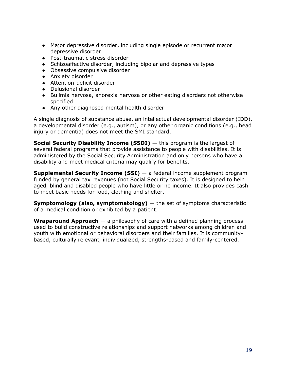- Major depressive disorder, including single episode or recurrent major depressive disorder
- Post-traumatic stress disorder
- Schizoaffective disorder, including bipolar and depressive types
- Obsessive compulsive disorder
- Anxiety disorder
- Attention-deficit disorder
- Delusional disorder
- Bulimia nervosa, anorexia nervosa or other eating disorders not otherwise specified
- Any other [diagnosed m](#page-17-1)ental health disorder

A single diagnosis of substance abuse, an intellectual developmental disorder (IDD), a developmental disorder (e.g., autism), or any other organic conditions (e.g., head injury or dementia) does not meet the SMI standard.

**Social Security Disability Income (SSDI) —** this program is the largest of several federal programs that provide assistance to people with disabilities. It is administered by the Social Security Administration and only persons who have a disability and meet medical criteria may qualify for benefits.

**Supplemental Security Income (SSI)** — a federal income supplement program funded by general tax revenues (not Social Security taxes). It is designed to help aged, blind and disabled people who have little or no income. It also provides cash to meet basic needs for food, clothing and shelter.

**Symptomology (also, symptomatology)** — the set of symptoms characteristic of a medical condition or exhibited by a patient.

**Wraparound Approach** — a philosophy of care with a defined planning process used to build constructive relationships and support networks among children and youth with emotional or behavioral disorders and their families. It is communitybased, culturally relevant, individualized, strengths-based and family-centered.